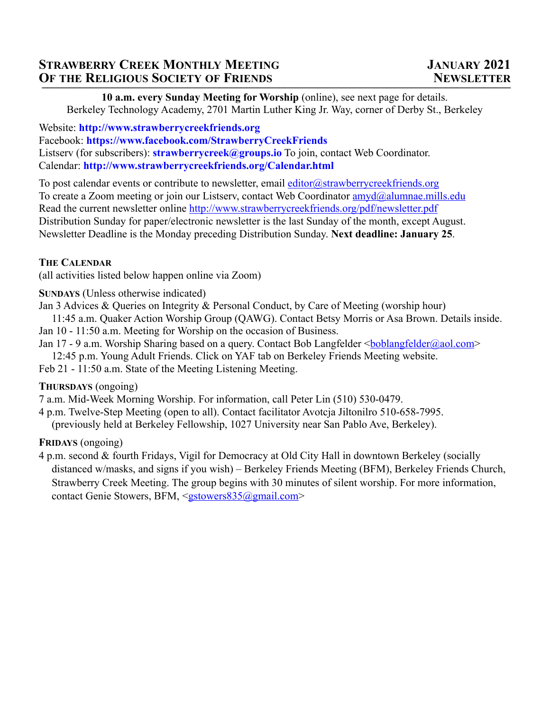# **STRAWBERRY CREEK MONTHLY MEETING <b>STRAWBERRY 2021 OF THE RELIGIOUS SOCIETY OF FRIENDS SERVED ASSESSED AREA**

**10 a.m. every Sunday Meeting for Worship** (online), see next page for details. Berkeley Technology Academy, 2701 Martin Luther King Jr. Way, corner of Derby St., Berkeley

Website: **<http://www.strawberrycreekfriends.org>** Facebook: **<https://www.facebook.com/StrawberryCreekFriends>** Listserv (for subscribers): **[strawberrycreek@groups.io](http://www.apple.com)** To join, contact Web Coordinator. Calendar: **<http://www.strawberrycreekfriends.org/Calendar.html>**

To post calendar events or contribute to newsletter, email [editor@strawberrycreekfriends.org](mailto:editor@strawberrycreekfriends.org) To create a Zoom meeting or join our Listserv, contact Web Coordinator  $\frac{am\gamma d}{a}$ alumnae.mills.edu Read the current newsletter online <http://www.strawberrycreekfriends.org/pdf/newsletter.pdf> Distribution Sunday for paper/electronic newsletter is the last Sunday of the month, except August. Newsletter Deadline is the Monday preceding Distribution Sunday. **Next deadline: January 25**.

## **THE CALENDAR**

(all activities listed below happen online via Zoom)

**SUNDAYS** (Unless otherwise indicated)

Jan 3 Advices & Queries on Integrity & Personal Conduct, by Care of Meeting (worship hour)

11:45 a.m. Quaker Action Worship Group (QAWG). Contact Betsy Morris or Asa Brown. Details inside. Jan 10 - 11:50 a.m. Meeting for Worship on the occasion of Business.

Jan 17 - 9 a.m. Worship Sharing based on a query. Contact Bob Langfelder <br/>boblangfelder@aol.com> 12:45 p.m. Young Adult Friends. Click on YAF tab on Berkeley Friends Meeting website.

Feb 21 - 11:50 a.m. State of the Meeting Listening Meeting.

### **THURSDAYS** (ongoing)

7 a.m. Mid-Week Morning Worship. For information, call Peter Lin (510) 530-0479.

4 p.m. Twelve-Step Meeting (open to all). Contact facilitator Avotcja Jiltonilro 510-658-7995. (previously held at Berkeley Fellowship, 1027 University near San Pablo Ave, Berkeley).

# **FRIDAYS** (ongoing)

4 p.m. second & fourth Fridays, Vigil for Democracy at Old City Hall in downtown Berkeley (socially distanced w/masks, and signs if you wish) – Berkeley Friends Meeting (BFM), Berkeley Friends Church, Strawberry Creek Meeting. The group begins with 30 minutes of silent worship. For more information, contact Genie Stowers, BFM, <[gstowers835@gmail.com](mailto:gstowers835@gmail.com)>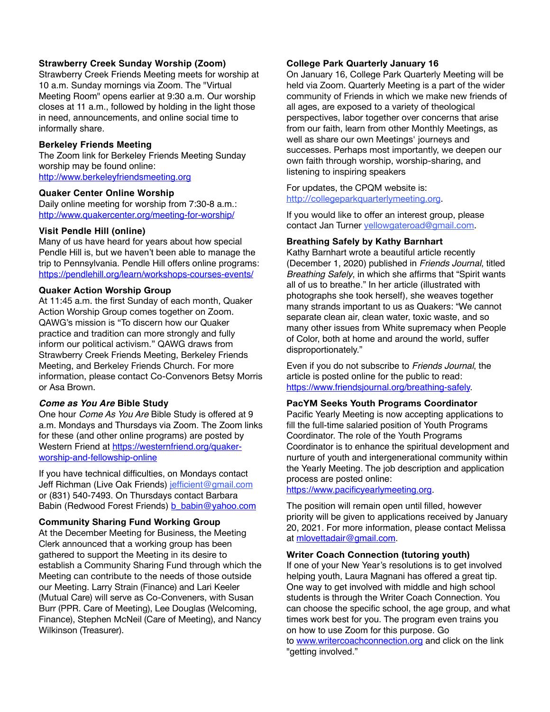#### **Strawberry Creek Sunday Worship (Zoom)**

Strawberry Creek Friends Meeting meets for worship at 10 a.m. Sunday mornings via Zoom. The "Virtual Meeting Room" opens earlier at 9:30 a.m. Our worship closes at 11 a.m., followed by holding in the light those in need, announcements, and online social time to informally share.

#### **Berkeley Friends Meeting**

The Zoom link for Berkeley Friends Meeting Sunday worship may be found online: <http://www.berkeleyfriendsmeeting.org>

#### **Quaker Center Online Worship**

Daily online meeting for worship from 7:30-8 a.m.: <http://www.quakercenter.org/meeting-for-worship/>

#### **Visit Pendle Hill (online)**

Many of us have heard for years about how special Pendle Hill is, but we haven't been able to manage the trip to Pennsylvania. Pendle Hill offers online programs: <https://pendlehill.org/learn/workshops-courses-events/>

#### **Quaker Action Worship Group**

At 11:45 a.m. the first Sunday of each month, Quaker Action Worship Group comes together on Zoom. QAWG's mission is "To discern how our Quaker practice and tradition can more strongly and fully inform our political activism." QAWG draws from Strawberry Creek Friends Meeting, Berkeley Friends Meeting, and Berkeley Friends Church. For more information, please contact Co-Convenors Betsy Morris or Asa Brown.

### *Come as You Are* **Bible Study**

One hour *Come As You Are* Bible Study is offered at 9 a.m. Mondays and Thursdays via Zoom. The Zoom links for these (and other online programs) are posted by [Western Friend at https://westernfriend.org/quaker](https://westernfriend.org/quaker-worship-and-fellowship-online)[worship-and-fellowship-online](https://westernfriend.org/quaker-worship-and-fellowship-online)

If you have technical difficulties, on Mondays contact Jeff Richman (Live Oak Friends) [jefficient@gmail.com](mailto:jefficient@gmail.com) or (831) 540-7493. On Thursdays contact Barbara Babin (Redwood Forest Friends) [b\\_babin@yahoo.com](mailto:b_babin@yahoo.com)

#### **Community Sharing Fund Working Group**

At the December Meeting for Business, the Meeting Clerk announced that a working group has been gathered to support the Meeting in its desire to establish a Community Sharing Fund through which the Meeting can contribute to the needs of those outside our Meeting. Larry Strain (Finance) and Lari Keeler (Mutual Care) will serve as Co-Conveners, with Susan Burr (PPR. Care of Meeting), Lee Douglas (Welcoming, Finance), Stephen McNeil (Care of Meeting), and Nancy Wilkinson (Treasurer).

#### **College Park Quarterly January 16**

On January 16, College Park Quarterly Meeting will be held via Zoom. Quarterly Meeting is a part of the wider community of Friends in which we make new friends of all ages, are exposed to a variety of theological perspectives, labor together over concerns that arise from our faith, learn from other Monthly Meetings, as well as share our own Meetings' journeys and successes. Perhaps most importantly, we deepen our own faith through worship, worship-sharing, and listening to inspiring speakers

For updates, the CPQM website is: [http://collegeparkquarterlymeeting.org.](http://collegeparkquarterlymeeting.org)

If you would like to offer an interest group, please contact Jan Turner [yellowgateroad@gmail.com.](mailto:yellowgateroad@gmail.com)

#### **Breathing Safely by Kathy Barnhart**

Kathy Barnhart wrote a beautiful article recently (December 1, 2020) published in *Friends Journal*, titled *Breathing Safely*, in which she affirms that "Spirit wants all of us to breathe." In her article (illustrated with photographs she took herself), she weaves together many strands important to us as Quakers: "We cannot separate clean air, clean water, toxic waste, and so many other issues from White supremacy when People of Color, both at home and around the world, suffer disproportionately."

Even if you do not subscribe to *Friends Journal*, the article is posted online for the public to read: [https://www.friendsjournal.org/breathing-safely.](https://www.friendsjournal.org/breathing-safely) 

#### **PacYM Seeks Youth Programs Coordinator**

Pacific Yearly Meeting is now accepting applications to fill the full-time salaried position of Youth Programs Coordinator. The role of the Youth Programs Coordinator is to enhance the spiritual development and nurture of youth and intergenerational community within the Yearly Meeting. The job description and application process are posted online:

[https://www.pacificyearlymeeting.org.](https://www.pacificyearlymeeting.org) 

The position will remain open until filled, however priority will be given to applications received by January 20, 2021. For more information, please contact Melissa at [mlovettadair@gmail.com](mailto:mlovettadair@gmail.com).

#### **Writer Coach Connection (tutoring youth)**

If one of your New Year's resolutions is to get involved helping youth, Laura Magnani has offered a great tip. One way to get involved with middle and high school students is through the Writer Coach Connection. You can choose the specific school, the age group, and what times work best for you. The program even trains you on how to use Zoom for this purpose. Go to [www.writercoachconnection.org](http://www.writercoachconnection.org/) and click on the link "getting involved."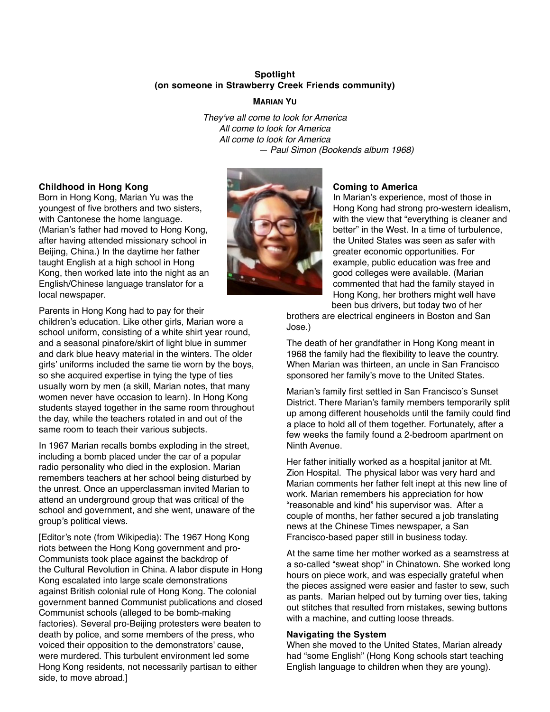#### **Spotlight (on someone in Strawberry Creek Friends community)**

#### **MARIAN YU**

*They've all come to look for America All come to look for America All come to look for America — Paul Simon (Bookends album 1968)*

#### **Childhood in Hong Kong**

Born in Hong Kong, Marian Yu was the youngest of five brothers and two sisters, with Cantonese the home language. (Marian's father had moved to Hong Kong, after having attended missionary school in Beijing, China.) In the daytime her father taught English at a high school in Hong Kong, then worked late into the night as an English/Chinese language translator for a local newspaper.



#### **Coming to America**

In Marian's experience, most of those in Hong Kong had strong pro-western idealism, with the view that "everything is cleaner and better" in the West. In a time of turbulence, the United States was seen as safer with greater economic opportunities. For example, public education was free and good colleges were available. (Marian commented that had the family stayed in Hong Kong, her brothers might well have been bus drivers, but today two of her

brothers are electrical engineers in Boston and San Jose.)

The death of her grandfather in Hong Kong meant in 1968 the family had the flexibility to leave the country. When Marian was thirteen, an uncle in San Francisco sponsored her family's move to the United States.

Marian's family first settled in San Francisco's Sunset District. There Marian's family members temporarily split up among different households until the family could find a place to hold all of them together. Fortunately, after a few weeks the family found a 2-bedroom apartment on Ninth Avenue.

Her father initially worked as a hospital janitor at Mt. Zion Hospital. The physical labor was very hard and Marian comments her father felt inept at this new line of work. Marian remembers his appreciation for how "reasonable and kind" his supervisor was. After a couple of months, her father secured a job translating news at the Chinese Times newspaper, a San Francisco-based paper still in business today.

At the same time her mother worked as a seamstress at a so-called "sweat shop" in Chinatown. She worked long hours on piece work, and was especially grateful when the pieces assigned were easier and faster to sew, such as pants. Marian helped out by turning over ties, taking out stitches that resulted from mistakes, sewing buttons with a machine, and cutting loose threads.

#### **Navigating the System**

When she moved to the United States, Marian already had "some English" (Hong Kong schools start teaching English language to children when they are young).

Parents in Hong Kong had to pay for their children's education. Like other girls, Marian wore a school uniform, consisting of a white shirt year round, and a seasonal pinafore/skirt of light blue in summer and dark blue heavy material in the winters. The older girls' uniforms included the same tie worn by the boys, so she acquired expertise in tying the type of ties usually worn by men (a skill, Marian notes, that many women never have occasion to learn). In Hong Kong students stayed together in the same room throughout the day, while the teachers rotated in and out of the same room to teach their various subjects.

In 1967 Marian recalls bombs exploding in the street, including a bomb placed under the car of a popular radio personality who died in the explosion. Marian remembers teachers at her school being disturbed by the unrest. Once an upperclassman invited Marian to attend an underground group that was critical of the school and government, and she went, unaware of the group's political views.

[Editor's note (from Wikipedia): The 1967 Hong Kong riots between the Hong Kong government and pro-Communists took place against the backdrop of the Cultural Revolution in China. A labor dispute in Hong Kong escalated into large scale demonstrations against British colonial rule of Hong Kong. The colonial government banned Communist publications and closed Communist schools (alleged to be bomb-making factories). Several pro-Beijing protesters were beaten to death by police, and some members of the press, who voiced their opposition to the demonstrators' cause, were murdered. This turbulent environment led some Hong Kong residents, not necessarily partisan to either side, to move abroad.]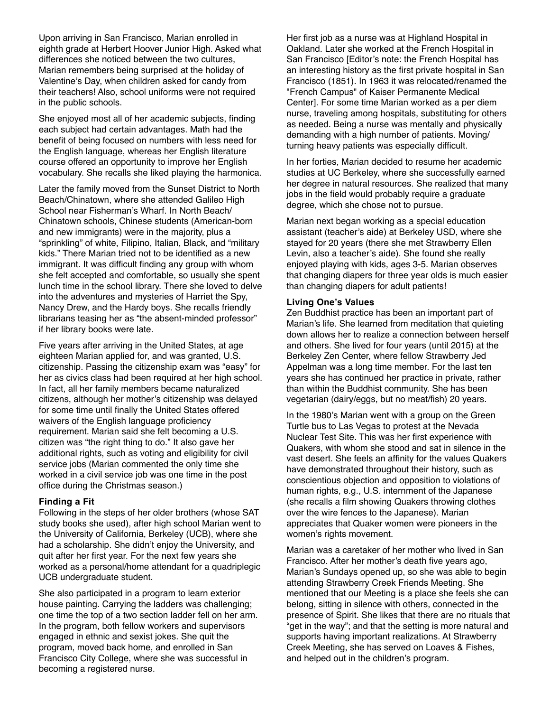Upon arriving in San Francisco, Marian enrolled in eighth grade at Herbert Hoover Junior High. Asked what differences she noticed between the two cultures, Marian remembers being surprised at the holiday of Valentine's Day, when children asked for candy from their teachers! Also, school uniforms were not required in the public schools.

She enjoyed most all of her academic subjects, finding each subject had certain advantages. Math had the benefit of being focused on numbers with less need for the English language, whereas her English literature course offered an opportunity to improve her English vocabulary. She recalls she liked playing the harmonica.

Later the family moved from the Sunset District to North Beach/Chinatown, where she attended Galileo High School near Fisherman's Wharf. In North Beach/ Chinatown schools, Chinese students (American-born and new immigrants) were in the majority, plus a "sprinkling" of white, Filipino, Italian, Black, and "military kids." There Marian tried not to be identified as a new immigrant. It was difficult finding any group with whom she felt accepted and comfortable, so usually she spent lunch time in the school library. There she loved to delve into the adventures and mysteries of Harriet the Spy, Nancy Drew, and the Hardy boys. She recalls friendly librarians teasing her as "the absent-minded professor" if her library books were late.

Five years after arriving in the United States, at age eighteen Marian applied for, and was granted, U.S. citizenship. Passing the citizenship exam was "easy" for her as civics class had been required at her high school. In fact, all her family members became naturalized citizens, although her mother's citizenship was delayed for some time until finally the United States offered waivers of the English language proficiency requirement. Marian said she felt becoming a U.S. citizen was "the right thing to do." It also gave her additional rights, such as voting and eligibility for civil service jobs (Marian commented the only time she worked in a civil service job was one time in the post office during the Christmas season.)

#### **Finding a Fit**

Following in the steps of her older brothers (whose SAT study books she used), after high school Marian went to the University of California, Berkeley (UCB), where she had a scholarship. She didn't enjoy the University, and quit after her first year. For the next few years she worked as a personal/home attendant for a quadriplegic UCB undergraduate student.

She also participated in a program to learn exterior house painting. Carrying the ladders was challenging; one time the top of a two section ladder fell on her arm. In the program, both fellow workers and supervisors engaged in ethnic and sexist jokes. She quit the program, moved back home, and enrolled in San Francisco City College, where she was successful in becoming a registered nurse.

Her first job as a nurse was at Highland Hospital in Oakland. Later she worked at the French Hospital in San Francisco [Editor's note: the French Hospital has an interesting history as the first private hospital in San Francisco (1851). In 1963 it was relocated/renamed the "French Campus" of Kaiser Permanente Medical Center]. For some time Marian worked as a per diem nurse, traveling among hospitals, substituting for others as needed. Being a nurse was mentally and physically demanding with a high number of patients. Moving/ turning heavy patients was especially difficult.

In her forties, Marian decided to resume her academic studies at UC Berkeley, where she successfully earned her degree in natural resources. She realized that many jobs in the field would probably require a graduate degree, which she chose not to pursue.

Marian next began working as a special education assistant (teacher's aide) at Berkeley USD, where she stayed for 20 years (there she met Strawberry Ellen Levin, also a teacher's aide). She found she really enjoyed playing with kids, ages 3-5. Marian observes that changing diapers for three year olds is much easier than changing diapers for adult patients!

#### **Living One's Values**

Zen Buddhist practice has been an important part of Marian's life. She learned from meditation that quieting down allows her to realize a connection between herself and others. She lived for four years (until 2015) at the Berkeley Zen Center, where fellow Strawberry Jed Appelman was a long time member. For the last ten years she has continued her practice in private, rather than within the Buddhist community. She has been vegetarian (dairy/eggs, but no meat/fish) 20 years.

In the 1980's Marian went with a group on the Green Turtle bus to Las Vegas to protest at the Nevada Nuclear Test Site. This was her first experience with Quakers, with whom she stood and sat in silence in the vast desert. She feels an affinity for the values Quakers have demonstrated throughout their history, such as conscientious objection and opposition to violations of human rights, e.g., U.S. internment of the Japanese (she recalls a film showing Quakers throwing clothes over the wire fences to the Japanese). Marian appreciates that Quaker women were pioneers in the women's rights movement.

Marian was a caretaker of her mother who lived in San Francisco. After her mother's death five years ago, Marian's Sundays opened up, so she was able to begin attending Strawberry Creek Friends Meeting. She mentioned that our Meeting is a place she feels she can belong, sitting in silence with others, connected in the presence of Spirit. She likes that there are no rituals that "get in the way"; and that the setting is more natural and supports having important realizations. At Strawberry Creek Meeting, she has served on Loaves & Fishes, and helped out in the children's program.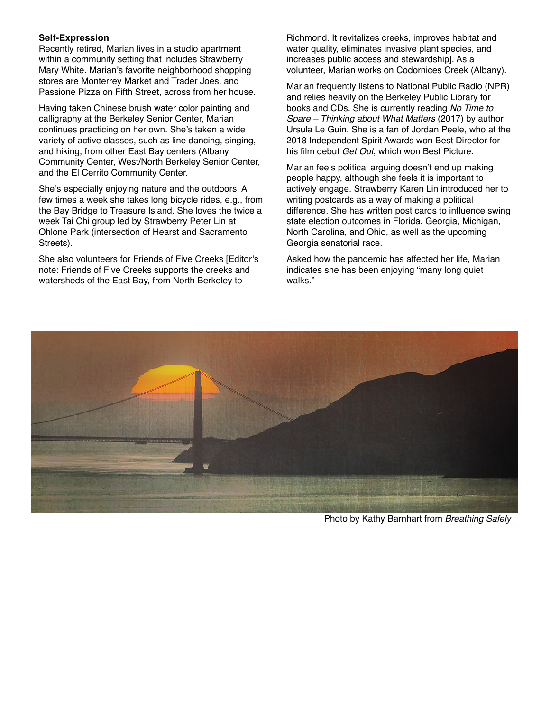#### **Self-Expression**

Recently retired, Marian lives in a studio apartment within a community setting that includes Strawberry Mary White. Marian's favorite neighborhood shopping stores are Monterrey Market and Trader Joes, and Passione Pizza on Fifth Street, across from her house.

Having taken Chinese brush water color painting and calligraphy at the Berkeley Senior Center, Marian continues practicing on her own. She's taken a wide variety of active classes, such as line dancing, singing, and hiking, from other East Bay centers (Albany Community Center, West/North Berkeley Senior Center, and the El Cerrito Community Center.

She's especially enjoying nature and the outdoors. A few times a week she takes long bicycle rides, e.g., from the Bay Bridge to Treasure Island. She loves the twice a week Tai Chi group led by Strawberry Peter Lin at Ohlone Park (intersection of Hearst and Sacramento Streets).

She also volunteers for Friends of Five Creeks [Editor's note: Friends of Five Creeks supports the creeks and watersheds of the East Bay, from North Berkeley to

Richmond. It revitalizes creeks, improves habitat and water quality, eliminates invasive plant species, and increases public access and stewardship]. As a volunteer, Marian works on Codornices Creek (Albany).

Marian frequently listens to National Public Radio (NPR) and relies heavily on the Berkeley Public Library for books and CDs. She is currently reading *No Time to Spare – Thinking about What Matters* (2017) by author Ursula Le Guin. She is a fan of Jordan Peele, who at the 2018 Independent Spirit Awards won Best Director for his film debut *Get Out*, which won Best Picture.

Marian feels political arguing doesn't end up making people happy, although she feels it is important to actively engage. Strawberry Karen Lin introduced her to writing postcards as a way of making a political difference. She has written post cards to influence swing state election outcomes in Florida, Georgia, Michigan, North Carolina, and Ohio, as well as the upcoming Georgia senatorial race.

Asked how the pandemic has affected her life, Marian indicates she has been enjoying "many long quiet walks."



Photo by Kathy Barnhart from *Breathing Safely*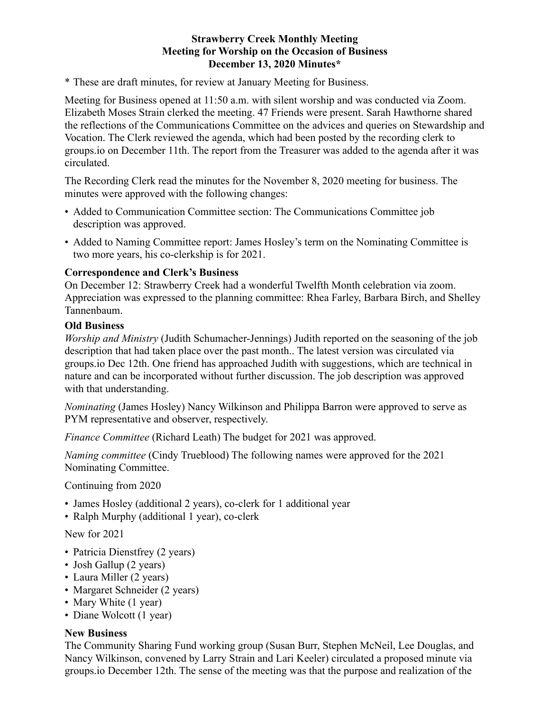### **Strawberry Creek Monthly Meeting Meeting for Worship on the Occasion of Business December 13, 2020 Minutes\***

\* These are draft minutes, for review at January Meeting for Business.

Meeting for Business opened at 11:50 a.m. with silent worship and was conducted via Zoom. Elizabeth Moses Strain clerked the meeting. 47 Friends were present. Sarah Hawthorne shared the reflections of the Communications Committee on the advices and queries on Stewardship and Vocation. The Clerk reviewed the agenda, which had been posted by the recording clerk to groups.io on December 11th. The report from the Treasurer was added to the agenda after it was circulated.

The Recording Clerk read the minutes for the November 8, 2020 meeting for business. The minutes were approved with the following changes:

- Added to Communication Committee section: The Communications Committee job description was approved.
- Added to Naming Committee report: James Hosley's term on the Nominating Committee is two more years, his co-clerkship is for 2021.

## **Correspondence and Clerk's Business**

On December 12: Strawberry Creek had a wonderful Twelfth Month celebration via zoom. Appreciation was expressed to the planning committee: Rhea Farley, Barbara Birch, and Shelley Tannenbaum.

### **Old Business**

*Worship and Ministry* (Judith Schumacher-Jennings) Judith reported on the seasoning of the job description that had taken place over the past month.. The latest version was circulated via groups.io Dec 12th. One friend has approached Judith with suggestions, which are technical in nature and can be incorporated without further discussion. The job description was approved with that understanding.

*Nominating* (James Hosley) Nancy Wilkinson and Philippa Barron were approved to serve as PYM representative and observer, respectively.

*Finance Committee* (Richard Leath) The budget for 2021 was approved.

*Naming committee* (Cindy Trueblood) The following names were approved for the 2021 Nominating Committee.

Continuing from 2020

- James Hosley (additional 2 years), co-clerk for 1 additional year
- Ralph Murphy (additional 1 year), co-clerk

New for 2021

- Patricia Dienstfrey (2 years)
- Josh Gallup (2 years)
- Laura Miller (2 years)
- Margaret Schneider (2 years)
- Mary White (1 year)
- Diane Wolcott (1 year)

# **New Business**

The Community Sharing Fund working group (Susan Burr, Stephen McNeil, Lee Douglas, and Nancy Wilkinson, convened by Larry Strain and Lari Keeler) circulated a proposed minute via groups.io December 12th. The sense of the meeting was that the purpose and realization of the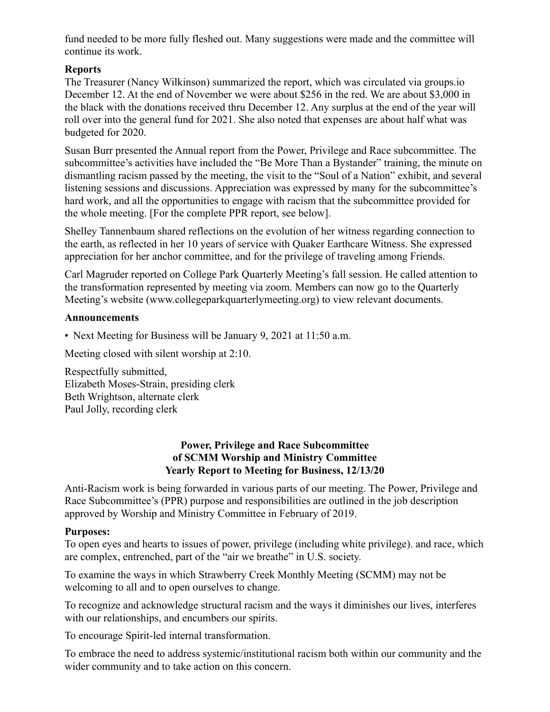fund needed to be more fully fleshed out. Many suggestions were made and the committee will continue its work.

### **Reports**

The Treasurer (Nancy Wilkinson) summarized the report, which was circulated via groups.io December 12. At the end of November we were about \$256 in the red. We are about \$3,000 in the black with the donations received thru December 12. Any surplus at the end of the year will roll over into the general fund for 2021. She also noted that expenses are about half what was budgeted for 2020.

Susan Burr presented the Annual report from the Power, Privilege and Race subcommittee. The subcommittee's activities have included the "Be More Than a Bystander" training, the minute on dismantling racism passed by the meeting, the visit to the "Soul of a Nation" exhibit, and several listening sessions and discussions. Appreciation was expressed by many for the subcommittee's hard work, and all the opportunities to engage with racism that the subcommittee provided for the whole meeting. [For the complete PPR report, see below].

Shelley Tannenbaum shared reflections on the evolution of her witness regarding connection to the earth, as reflected in her 10 years of service with Quaker Earthcare Witness. She expressed appreciation for her anchor committee, and for the privilege of traveling among Friends.

Carl Magruder reported on College Park Quarterly Meeting's fall session. He called attention to the transformation represented by meeting via zoom. Members can now go to the Quarterly Meeting's website (www.collegeparkquarterlymeeting.org) to view relevant documents.

### **Announcements**

• Next Meeting for Business will be January 9, 2021 at 11:50 a.m.

Meeting closed with silent worship at 2:10.

Respectfully submitted, Elizabeth Moses-Strain, presiding clerk Beth Wrightson, alternate clerk Paul Jolly, recording clerk

### **Power, Privilege and Race Subcommittee of SCMM Worship and Ministry Committee Yearly Report to Meeting for Business, 12/13/20**

Anti-Racism work is being forwarded in various parts of our meeting. The Power, Privilege and Race Subcommittee's (PPR) purpose and responsibilities are outlined in the job description approved by Worship and Ministry Committee in February of 2019.

### **Purposes:**

To open eyes and hearts to issues of power, privilege (including white privilege). and race, which are complex, entrenched, part of the "air we breathe" in U.S. society.

To examine the ways in which Strawberry Creek Monthly Meeting (SCMM) may not be welcoming to all and to open ourselves to change.

To recognize and acknowledge structural racism and the ways it diminishes our lives, interferes with our relationships, and encumbers our spirits.

To encourage Spirit-led internal transformation.

To embrace the need to address systemic/institutional racism both within our community and the wider community and to take action on this concern.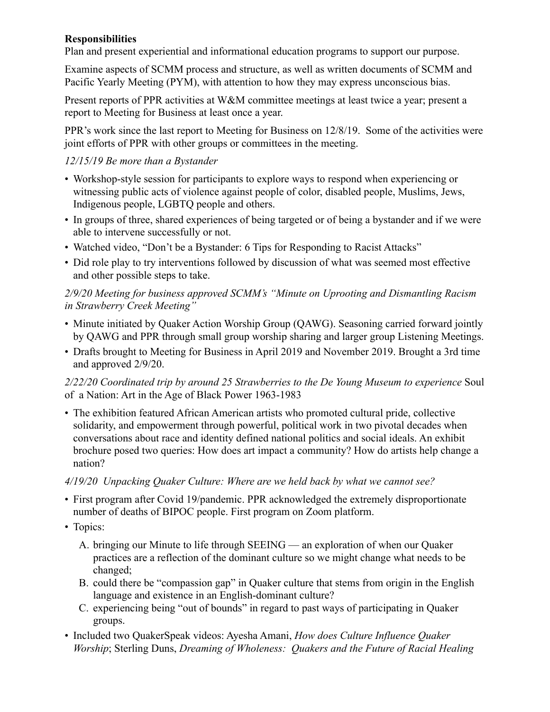## **Responsibilities**

Plan and present experiential and informational education programs to support our purpose.

Examine aspects of SCMM process and structure, as well as written documents of SCMM and Pacific Yearly Meeting (PYM), with attention to how they may express unconscious bias.

Present reports of PPR activities at W&M committee meetings at least twice a year; present a report to Meeting for Business at least once a year.

PPR's work since the last report to Meeting for Business on 12/8/19. Some of the activities were joint efforts of PPR with other groups or committees in the meeting.

### *12/15/19 Be more than a Bystander*

- Workshop-style session for participants to explore ways to respond when experiencing or witnessing public acts of violence against people of color, disabled people, Muslims, Jews, Indigenous people, LGBTQ people and others.
- In groups of three, shared experiences of being targeted or of being a bystander and if we were able to intervene successfully or not.
- Watched video, "Don't be a Bystander: 6 Tips for Responding to Racist Attacks"
- Did role play to try interventions followed by discussion of what was seemed most effective and other possible steps to take.

# *2/9/20 Meeting for business approved SCMM's "Minute on Uprooting and Dismantling Racism in Strawberry Creek Meeting"*

- Minute initiated by Quaker Action Worship Group (QAWG). Seasoning carried forward jointly by QAWG and PPR through small group worship sharing and larger group Listening Meetings.
- Drafts brought to Meeting for Business in April 2019 and November 2019. Brought a 3rd time and approved 2/9/20.

### *2/22/20 Coordinated trip by around 25 Strawberries to the De Young Museum to experience* Soul of a Nation: Art in the Age of Black Power 1963-1983

• The exhibition featured African American artists who promoted cultural pride, collective solidarity, and empowerment through powerful, political work in two pivotal decades when conversations about race and identity defined national politics and social ideals. An exhibit brochure posed two queries: How does art impact a community? How do artists help change a nation?

### *4/19/20 Unpacking Quaker Culture: Where are we held back by what we cannot see?*

- First program after Covid 19/pandemic. PPR acknowledged the extremely disproportionate number of deaths of BIPOC people. First program on Zoom platform.
- Topics:
	- A. bringing our Minute to life through SEEING an exploration of when our Quaker practices are a reflection of the dominant culture so we might change what needs to be changed;
	- B. could there be "compassion gap" in Quaker culture that stems from origin in the English language and existence in an English-dominant culture?
	- C. experiencing being "out of bounds" in regard to past ways of participating in Quaker groups.
- Included two QuakerSpeak videos: Ayesha Amani, *How does Culture Influence Quaker Worship*; Sterling Duns, *Dreaming of Wholeness: Quakers and the Future of Racial Healing*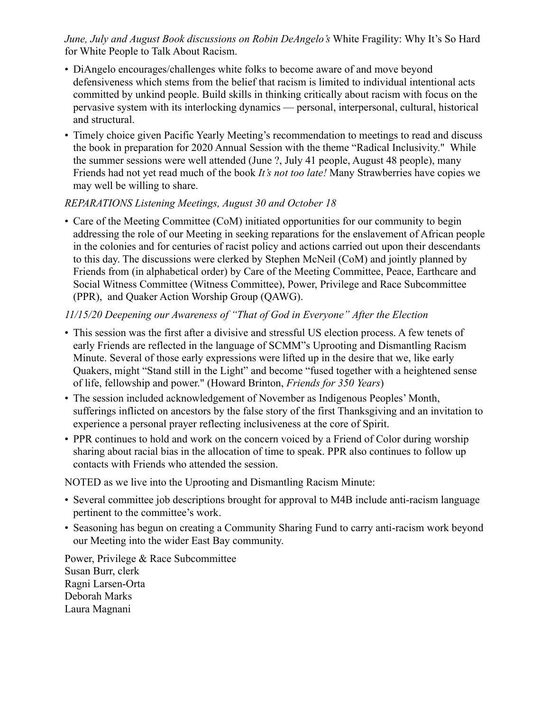*June, July and August Book discussions on Robin DeAngelo's* White Fragility: Why It's So Hard for White People to Talk About Racism.

- DiAngelo encourages/challenges white folks to become aware of and move beyond defensiveness which stems from the belief that racism is limited to individual intentional acts committed by unkind people. Build skills in thinking critically about racism with focus on the pervasive system with its interlocking dynamics — personal, interpersonal, cultural, historical and structural.
- Timely choice given Pacific Yearly Meeting's recommendation to meetings to read and discuss the book in preparation for 2020 Annual Session with the theme "Radical Inclusivity." While the summer sessions were well attended (June ?, July 41 people, August 48 people), many Friends had not yet read much of the book *It's not too late!* Many Strawberries have copies we may well be willing to share.

## *REPARATIONS Listening Meetings, August 30 and October 18*

• Care of the Meeting Committee (CoM) initiated opportunities for our community to begin addressing the role of our Meeting in seeking reparations for the enslavement of African people in the colonies and for centuries of racist policy and actions carried out upon their descendants to this day. The discussions were clerked by Stephen McNeil (CoM) and jointly planned by Friends from (in alphabetical order) by Care of the Meeting Committee, Peace, Earthcare and Social Witness Committee (Witness Committee), Power, Privilege and Race Subcommittee (PPR), and Quaker Action Worship Group (QAWG).

# *11/15/20 Deepening our Awareness of "That of God in Everyone" After the Election*

- This session was the first after a divisive and stressful US election process. A few tenets of early Friends are reflected in the language of SCMM"s Uprooting and Dismantling Racism Minute. Several of those early expressions were lifted up in the desire that we, like early Quakers, might "Stand still in the Light" and become "fused together with a heightened sense of life, fellowship and power." (Howard Brinton, *Friends for 350 Years*)
- The session included acknowledgement of November as Indigenous Peoples' Month, sufferings inflicted on ancestors by the false story of the first Thanksgiving and an invitation to experience a personal prayer reflecting inclusiveness at the core of Spirit.
- PPR continues to hold and work on the concern voiced by a Friend of Color during worship sharing about racial bias in the allocation of time to speak. PPR also continues to follow up contacts with Friends who attended the session.

NOTED as we live into the Uprooting and Dismantling Racism Minute:

- Several committee job descriptions brought for approval to M4B include anti-racism language pertinent to the committee's work.
- Seasoning has begun on creating a Community Sharing Fund to carry anti-racism work beyond our Meeting into the wider East Bay community.

Power, Privilege & Race Subcommittee Susan Burr, clerk Ragni Larsen-Orta Deborah Marks Laura Magnani